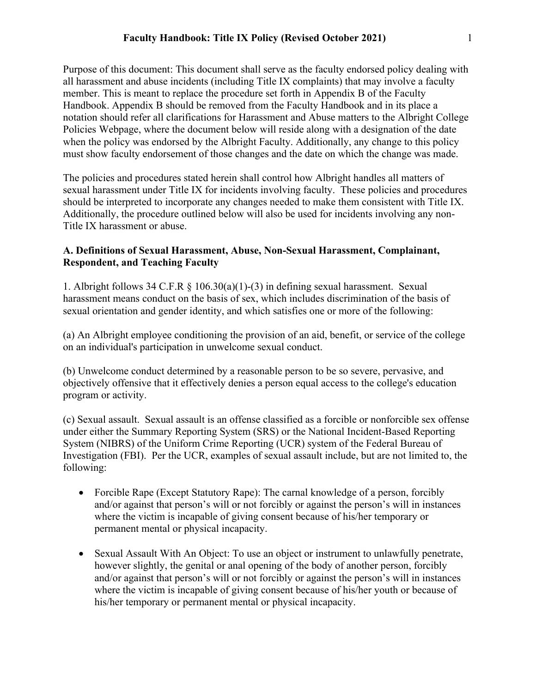Purpose of this document: This document shall serve as the faculty endorsed policy dealing with all harassment and abuse incidents (including Title IX complaints) that may involve a faculty member. This is meant to replace the procedure set forth in Appendix B of the Faculty Handbook. Appendix B should be removed from the Faculty Handbook and in its place a notation should refer all clarifications for Harassment and Abuse matters to the Albright College Policies Webpage, where the document below will reside along with a designation of the date when the policy was endorsed by the Albright Faculty. Additionally, any change to this policy must show faculty endorsement of those changes and the date on which the change was made.

The policies and procedures stated herein shall control how Albright handles all matters of sexual harassment under Title IX for incidents involving faculty. These policies and procedures should be interpreted to incorporate any changes needed to make them consistent with Title IX. Additionally, the procedure outlined below will also be used for incidents involving any non-Title IX harassment or abuse.

### **A. Definitions of Sexual Harassment, Abuse, Non-Sexual Harassment, Complainant, Respondent, and Teaching Faculty**

1. Albright follows 34 C.F.R § 106.30(a)(1)-(3) in defining sexual harassment. Sexual harassment means conduct on the basis of sex, which includes discrimination of the basis of sexual orientation and gender identity, and which satisfies one or more of the following:

(a) An Albright employee conditioning the provision of an aid, benefit, or service of the college on an individual's participation in unwelcome sexual conduct.

(b) Unwelcome conduct determined by a reasonable person to be so severe, pervasive, and objectively offensive that it effectively denies a person equal access to the college's education program or activity.

(c) Sexual assault. Sexual assault is an offense classified as a forcible or nonforcible sex offense under either the Summary Reporting System (SRS) or the National Incident-Based Reporting System (NIBRS) of the Uniform Crime Reporting (UCR) system of the Federal Bureau of Investigation (FBI). Per the UCR, examples of sexual assault include, but are not limited to, the following:

- Forcible Rape (Except Statutory Rape): The carnal knowledge of a person, forcibly and/or against that person's will or not forcibly or against the person's will in instances where the victim is incapable of giving consent because of his/her temporary or permanent mental or physical incapacity.
- Sexual Assault With An Object: To use an object or instrument to unlawfully penetrate, however slightly, the genital or anal opening of the body of another person, forcibly and/or against that person's will or not forcibly or against the person's will in instances where the victim is incapable of giving consent because of his/her youth or because of his/her temporary or permanent mental or physical incapacity.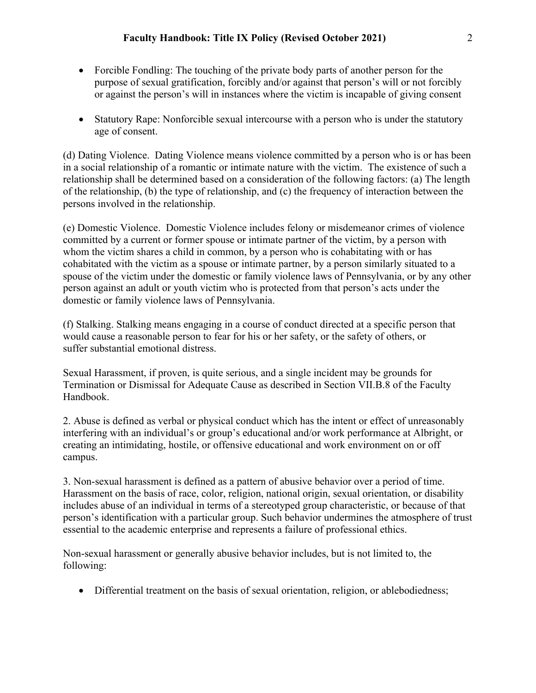- Forcible Fondling: The touching of the private body parts of another person for the purpose of sexual gratification, forcibly and/or against that person's will or not forcibly or against the person's will in instances where the victim is incapable of giving consent
- Statutory Rape: Nonforcible sexual intercourse with a person who is under the statutory age of consent.

(d) Dating Violence. Dating Violence means violence committed by a person who is or has been in a social relationship of a romantic or intimate nature with the victim. The existence of such a relationship shall be determined based on a consideration of the following factors: (a) The length of the relationship, (b) the type of relationship, and (c) the frequency of interaction between the persons involved in the relationship.

(e) Domestic Violence. Domestic Violence includes felony or misdemeanor crimes of violence committed by a current or former spouse or intimate partner of the victim, by a person with whom the victim shares a child in common, by a person who is cohabitating with or has cohabitated with the victim as a spouse or intimate partner, by a person similarly situated to a spouse of the victim under the domestic or family violence laws of Pennsylvania, or by any other person against an adult or youth victim who is protected from that person's acts under the domestic or family violence laws of Pennsylvania.

(f) Stalking. Stalking means engaging in a course of conduct directed at a specific person that would cause a reasonable person to fear for his or her safety, or the safety of others, or suffer substantial emotional distress.

Sexual Harassment, if proven, is quite serious, and a single incident may be grounds for Termination or Dismissal for Adequate Cause as described in Section VII.B.8 of the Faculty Handbook.

2. Abuse is defined as verbal or physical conduct which has the intent or effect of unreasonably interfering with an individual's or group's educational and/or work performance at Albright, or creating an intimidating, hostile, or offensive educational and work environment on or off campus.

3. Non-sexual harassment is defined as a pattern of abusive behavior over a period of time. Harassment on the basis of race, color, religion, national origin, sexual orientation, or disability includes abuse of an individual in terms of a stereotyped group characteristic, or because of that person's identification with a particular group. Such behavior undermines the atmosphere of trust essential to the academic enterprise and represents a failure of professional ethics.

Non-sexual harassment or generally abusive behavior includes, but is not limited to, the following:

• Differential treatment on the basis of sexual orientation, religion, or ablebodiedness;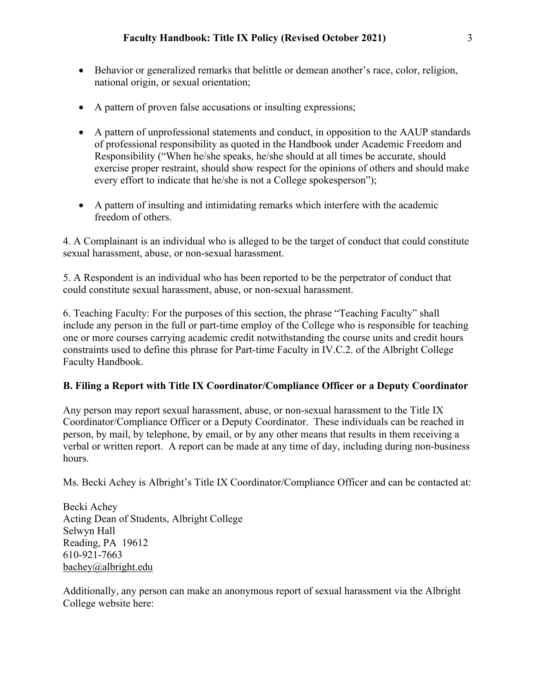- Behavior or generalized remarks that belittle or demean another's race, color, religion, national origin, or sexual orientation;
- A pattern of proven false accusations or insulting expressions;
- A pattern of unprofessional statements and conduct, in opposition to the AAUP standards of professional responsibility as quoted in the Handbook under Academic Freedom and Responsibility ("When he/she speaks, he/she should at all times be accurate, should exercise proper restraint, should show respect for the opinions of others and should make every effort to indicate that he/she is not a College spokesperson");
- A pattern of insulting and intimidating remarks which interfere with the academic freedom of others.

4. A Complainant is an individual who is alleged to be the target of conduct that could constitute sexual harassment, abuse, or non-sexual harassment.

5. A Respondent is an individual who has been reported to be the perpetrator of conduct that could constitute sexual harassment, abuse, or non-sexual harassment.

6. Teaching Faculty: For the purposes of this section, the phrase "Teaching Faculty" shall include any person in the full or part-time employ of the College who is responsible for teaching one or more courses carrying academic credit notwithstanding the course units and credit hours constraints used to define this phrase for Part-time Faculty in IV.C.2. of the Albright College Faculty Handbook.

### **B. Filing a Report with Title IX Coordinator/Compliance Officer or a Deputy Coordinator**

Any person may report sexual harassment, abuse, or non-sexual harassment to the Title IX Coordinator/Compliance Officer or a Deputy Coordinator. These individuals can be reached in person, by mail, by telephone, by email, or by any other means that results in them receiving a verbal or written report. A report can be made at any time of day, including during non-business hours.

Ms. Becki Achey is Albright's Title IX Coordinator/Compliance Officer and can be contacted at:

Becki Achey Acting Dean of Students, Albright College Selwyn Hall Reading, PA 19612 610-921-7663 bachey@albright.edu

Additionally, any person can make an anonymous report of sexual harassment via the Albright College website here: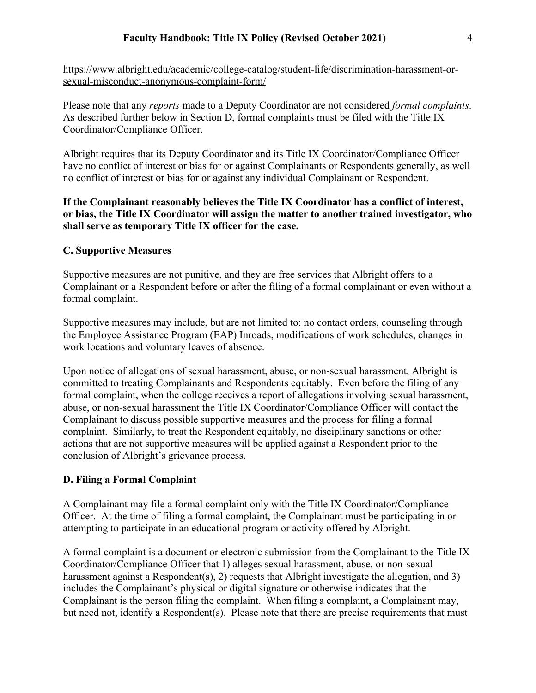https://www.albright.edu/academic/college-catalog/student-life/discrimination-harassment-orsexual-misconduct-anonymous-complaint-form/

Please note that any *reports* made to a Deputy Coordinator are not considered *formal complaints*. As described further below in Section D, formal complaints must be filed with the Title IX Coordinator/Compliance Officer.

Albright requires that its Deputy Coordinator and its Title IX Coordinator/Compliance Officer have no conflict of interest or bias for or against Complainants or Respondents generally, as well no conflict of interest or bias for or against any individual Complainant or Respondent.

## **If the Complainant reasonably believes the Title IX Coordinator has a conflict of interest, or bias, the Title IX Coordinator will assign the matter to another trained investigator, who shall serve as temporary Title IX officer for the case.**

### **C. Supportive Measures**

Supportive measures are not punitive, and they are free services that Albright offers to a Complainant or a Respondent before or after the filing of a formal complainant or even without a formal complaint.

Supportive measures may include, but are not limited to: no contact orders, counseling through the Employee Assistance Program (EAP) Inroads, modifications of work schedules, changes in work locations and voluntary leaves of absence.

Upon notice of allegations of sexual harassment, abuse, or non-sexual harassment, Albright is committed to treating Complainants and Respondents equitably. Even before the filing of any formal complaint, when the college receives a report of allegations involving sexual harassment, abuse, or non-sexual harassment the Title IX Coordinator/Compliance Officer will contact the Complainant to discuss possible supportive measures and the process for filing a formal complaint. Similarly, to treat the Respondent equitably, no disciplinary sanctions or other actions that are not supportive measures will be applied against a Respondent prior to the conclusion of Albright's grievance process.

### **D. Filing a Formal Complaint**

A Complainant may file a formal complaint only with the Title IX Coordinator/Compliance Officer. At the time of filing a formal complaint, the Complainant must be participating in or attempting to participate in an educational program or activity offered by Albright.

A formal complaint is a document or electronic submission from the Complainant to the Title IX Coordinator/Compliance Officer that 1) alleges sexual harassment, abuse, or non-sexual harassment against a Respondent(s), 2) requests that Albright investigate the allegation, and 3) includes the Complainant's physical or digital signature or otherwise indicates that the Complainant is the person filing the complaint. When filing a complaint, a Complainant may, but need not, identify a Respondent(s). Please note that there are precise requirements that must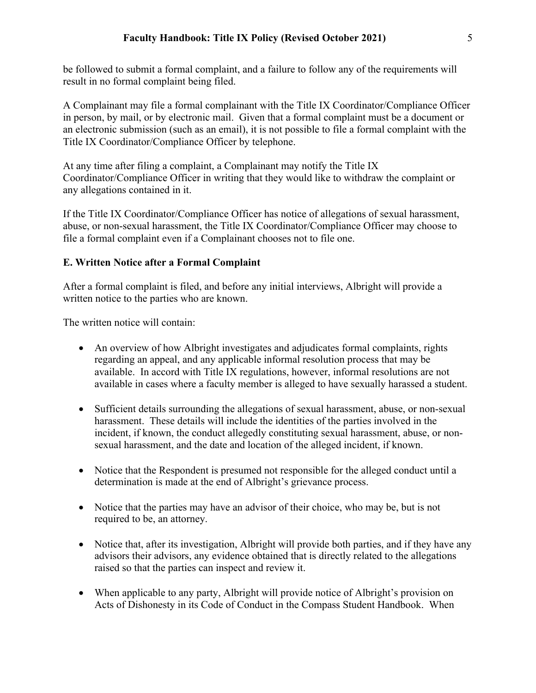be followed to submit a formal complaint, and a failure to follow any of the requirements will result in no formal complaint being filed.

A Complainant may file a formal complainant with the Title IX Coordinator/Compliance Officer in person, by mail, or by electronic mail. Given that a formal complaint must be a document or an electronic submission (such as an email), it is not possible to file a formal complaint with the Title IX Coordinator/Compliance Officer by telephone.

At any time after filing a complaint, a Complainant may notify the Title IX Coordinator/Compliance Officer in writing that they would like to withdraw the complaint or any allegations contained in it.

If the Title IX Coordinator/Compliance Officer has notice of allegations of sexual harassment, abuse, or non-sexual harassment, the Title IX Coordinator/Compliance Officer may choose to file a formal complaint even if a Complainant chooses not to file one.

## **E. Written Notice after a Formal Complaint**

After a formal complaint is filed, and before any initial interviews, Albright will provide a written notice to the parties who are known.

The written notice will contain:

- An overview of how Albright investigates and adjudicates formal complaints, rights regarding an appeal, and any applicable informal resolution process that may be available. In accord with Title IX regulations, however, informal resolutions are not available in cases where a faculty member is alleged to have sexually harassed a student.
- Sufficient details surrounding the allegations of sexual harassment, abuse, or non-sexual harassment. These details will include the identities of the parties involved in the incident, if known, the conduct allegedly constituting sexual harassment, abuse, or nonsexual harassment, and the date and location of the alleged incident, if known.
- Notice that the Respondent is presumed not responsible for the alleged conduct until a determination is made at the end of Albright's grievance process.
- Notice that the parties may have an advisor of their choice, who may be, but is not required to be, an attorney.
- Notice that, after its investigation, Albright will provide both parties, and if they have any advisors their advisors, any evidence obtained that is directly related to the allegations raised so that the parties can inspect and review it.
- When applicable to any party, Albright will provide notice of Albright's provision on Acts of Dishonesty in its Code of Conduct in the Compass Student Handbook. When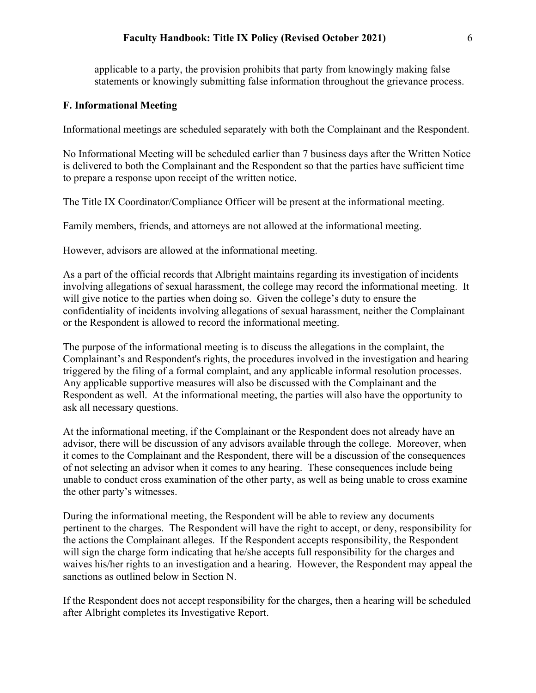#### **Faculty Handbook: Title IX Policy (Revised October 2021)** 6

applicable to a party, the provision prohibits that party from knowingly making false statements or knowingly submitting false information throughout the grievance process.

#### **F. Informational Meeting**

Informational meetings are scheduled separately with both the Complainant and the Respondent.

No Informational Meeting will be scheduled earlier than 7 business days after the Written Notice is delivered to both the Complainant and the Respondent so that the parties have sufficient time to prepare a response upon receipt of the written notice.

The Title IX Coordinator/Compliance Officer will be present at the informational meeting.

Family members, friends, and attorneys are not allowed at the informational meeting.

However, advisors are allowed at the informational meeting.

As a part of the official records that Albright maintains regarding its investigation of incidents involving allegations of sexual harassment, the college may record the informational meeting. It will give notice to the parties when doing so. Given the college's duty to ensure the confidentiality of incidents involving allegations of sexual harassment, neither the Complainant or the Respondent is allowed to record the informational meeting.

The purpose of the informational meeting is to discuss the allegations in the complaint, the Complainant's and Respondent's rights, the procedures involved in the investigation and hearing triggered by the filing of a formal complaint, and any applicable informal resolution processes. Any applicable supportive measures will also be discussed with the Complainant and the Respondent as well. At the informational meeting, the parties will also have the opportunity to ask all necessary questions.

At the informational meeting, if the Complainant or the Respondent does not already have an advisor, there will be discussion of any advisors available through the college. Moreover, when it comes to the Complainant and the Respondent, there will be a discussion of the consequences of not selecting an advisor when it comes to any hearing. These consequences include being unable to conduct cross examination of the other party, as well as being unable to cross examine the other party's witnesses.

During the informational meeting, the Respondent will be able to review any documents pertinent to the charges. The Respondent will have the right to accept, or deny, responsibility for the actions the Complainant alleges. If the Respondent accepts responsibility, the Respondent will sign the charge form indicating that he/she accepts full responsibility for the charges and waives his/her rights to an investigation and a hearing. However, the Respondent may appeal the sanctions as outlined below in Section N.

If the Respondent does not accept responsibility for the charges, then a hearing will be scheduled after Albright completes its Investigative Report.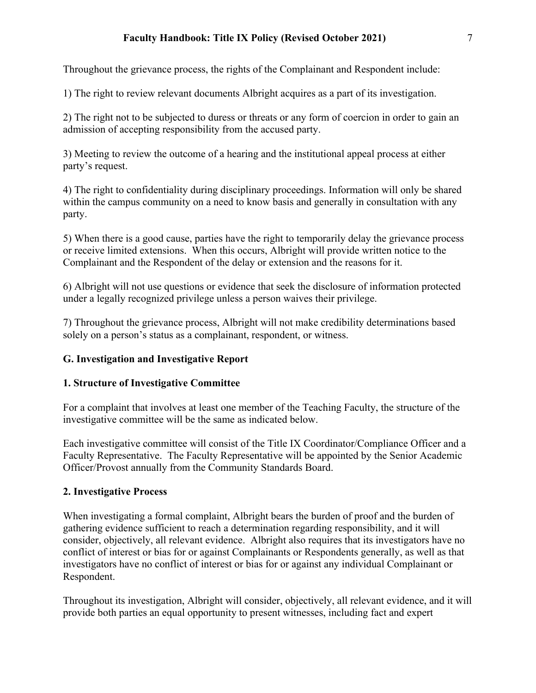## **Faculty Handbook: Title IX Policy (Revised October 2021)** 7

Throughout the grievance process, the rights of the Complainant and Respondent include:

1) The right to review relevant documents Albright acquires as a part of its investigation.

2) The right not to be subjected to duress or threats or any form of coercion in order to gain an admission of accepting responsibility from the accused party.

3) Meeting to review the outcome of a hearing and the institutional appeal process at either party's request.

4) The right to confidentiality during disciplinary proceedings. Information will only be shared within the campus community on a need to know basis and generally in consultation with any party.

5) When there is a good cause, parties have the right to temporarily delay the grievance process or receive limited extensions. When this occurs, Albright will provide written notice to the Complainant and the Respondent of the delay or extension and the reasons for it.

6) Albright will not use questions or evidence that seek the disclosure of information protected under a legally recognized privilege unless a person waives their privilege.

7) Throughout the grievance process, Albright will not make credibility determinations based solely on a person's status as a complainant, respondent, or witness.

### **G. Investigation and Investigative Report**

### **1. Structure of Investigative Committee**

For a complaint that involves at least one member of the Teaching Faculty, the structure of the investigative committee will be the same as indicated below.

Each investigative committee will consist of the Title IX Coordinator/Compliance Officer and a Faculty Representative. The Faculty Representative will be appointed by the Senior Academic Officer/Provost annually from the Community Standards Board.

#### **2. Investigative Process**

When investigating a formal complaint, Albright bears the burden of proof and the burden of gathering evidence sufficient to reach a determination regarding responsibility, and it will consider, objectively, all relevant evidence. Albright also requires that its investigators have no conflict of interest or bias for or against Complainants or Respondents generally, as well as that investigators have no conflict of interest or bias for or against any individual Complainant or Respondent.

Throughout its investigation, Albright will consider, objectively, all relevant evidence, and it will provide both parties an equal opportunity to present witnesses, including fact and expert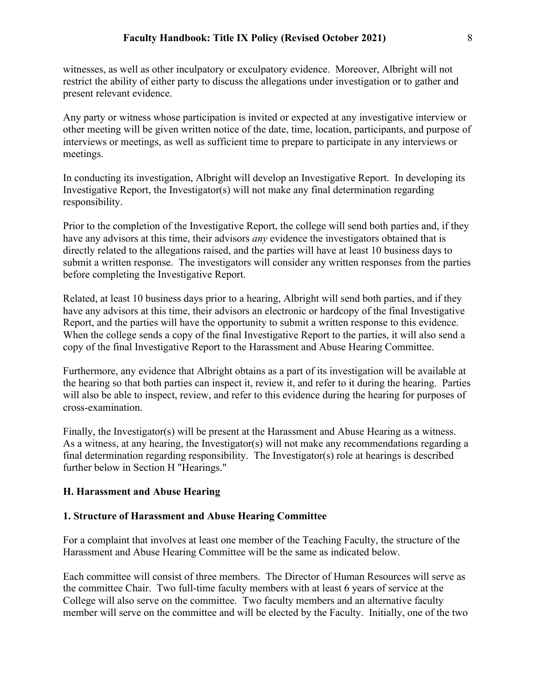witnesses, as well as other inculpatory or exculpatory evidence. Moreover, Albright will not restrict the ability of either party to discuss the allegations under investigation or to gather and present relevant evidence.

Any party or witness whose participation is invited or expected at any investigative interview or other meeting will be given written notice of the date, time, location, participants, and purpose of interviews or meetings, as well as sufficient time to prepare to participate in any interviews or meetings.

In conducting its investigation, Albright will develop an Investigative Report. In developing its Investigative Report, the Investigator(s) will not make any final determination regarding responsibility.

Prior to the completion of the Investigative Report, the college will send both parties and, if they have any advisors at this time, their advisors *any* evidence the investigators obtained that is directly related to the allegations raised, and the parties will have at least 10 business days to submit a written response. The investigators will consider any written responses from the parties before completing the Investigative Report.

Related, at least 10 business days prior to a hearing, Albright will send both parties, and if they have any advisors at this time, their advisors an electronic or hardcopy of the final Investigative Report, and the parties will have the opportunity to submit a written response to this evidence. When the college sends a copy of the final Investigative Report to the parties, it will also send a copy of the final Investigative Report to the Harassment and Abuse Hearing Committee.

Furthermore, any evidence that Albright obtains as a part of its investigation will be available at the hearing so that both parties can inspect it, review it, and refer to it during the hearing. Parties will also be able to inspect, review, and refer to this evidence during the hearing for purposes of cross-examination.

Finally, the Investigator(s) will be present at the Harassment and Abuse Hearing as a witness. As a witness, at any hearing, the Investigator(s) will not make any recommendations regarding a final determination regarding responsibility. The Investigator(s) role at hearings is described further below in Section H "Hearings."

#### **H. Harassment and Abuse Hearing**

#### **1. Structure of Harassment and Abuse Hearing Committee**

For a complaint that involves at least one member of the Teaching Faculty, the structure of the Harassment and Abuse Hearing Committee will be the same as indicated below.

Each committee will consist of three members. The Director of Human Resources will serve as the committee Chair. Two full-time faculty members with at least 6 years of service at the College will also serve on the committee. Two faculty members and an alternative faculty member will serve on the committee and will be elected by the Faculty. Initially, one of the two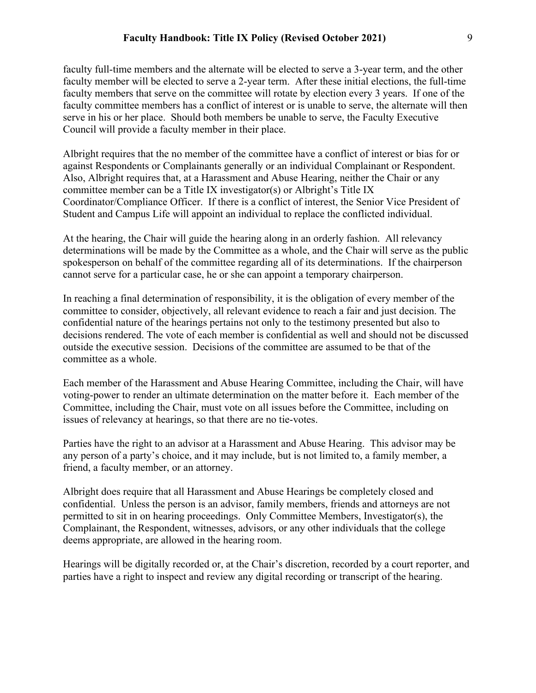faculty full-time members and the alternate will be elected to serve a 3-year term, and the other faculty member will be elected to serve a 2-year term. After these initial elections, the full-time faculty members that serve on the committee will rotate by election every 3 years. If one of the faculty committee members has a conflict of interest or is unable to serve, the alternate will then serve in his or her place. Should both members be unable to serve, the Faculty Executive Council will provide a faculty member in their place.

Albright requires that the no member of the committee have a conflict of interest or bias for or against Respondents or Complainants generally or an individual Complainant or Respondent. Also, Albright requires that, at a Harassment and Abuse Hearing, neither the Chair or any committee member can be a Title IX investigator(s) or Albright's Title IX Coordinator/Compliance Officer. If there is a conflict of interest, the Senior Vice President of Student and Campus Life will appoint an individual to replace the conflicted individual.

At the hearing, the Chair will guide the hearing along in an orderly fashion. All relevancy determinations will be made by the Committee as a whole, and the Chair will serve as the public spokesperson on behalf of the committee regarding all of its determinations. If the chairperson cannot serve for a particular case, he or she can appoint a temporary chairperson.

In reaching a final determination of responsibility, it is the obligation of every member of the committee to consider, objectively, all relevant evidence to reach a fair and just decision. The confidential nature of the hearings pertains not only to the testimony presented but also to decisions rendered. The vote of each member is confidential as well and should not be discussed outside the executive session. Decisions of the committee are assumed to be that of the committee as a whole.

Each member of the Harassment and Abuse Hearing Committee, including the Chair, will have voting-power to render an ultimate determination on the matter before it. Each member of the Committee, including the Chair, must vote on all issues before the Committee, including on issues of relevancy at hearings, so that there are no tie-votes.

Parties have the right to an advisor at a Harassment and Abuse Hearing. This advisor may be any person of a party's choice, and it may include, but is not limited to, a family member, a friend, a faculty member, or an attorney.

Albright does require that all Harassment and Abuse Hearings be completely closed and confidential. Unless the person is an advisor, family members, friends and attorneys are not permitted to sit in on hearing proceedings. Only Committee Members, Investigator(s), the Complainant, the Respondent, witnesses, advisors, or any other individuals that the college deems appropriate, are allowed in the hearing room.

Hearings will be digitally recorded or, at the Chair's discretion, recorded by a court reporter, and parties have a right to inspect and review any digital recording or transcript of the hearing.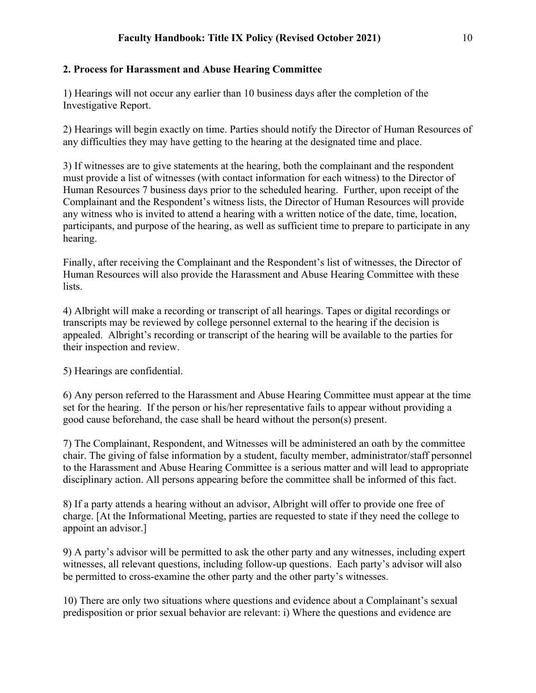## **2. Process for Harassment and Abuse Hearing Committee**

1) Hearings will not occur any earlier than 10 business days after the completion of the Investigative Report.

2) Hearings will begin exactly on time. Parties should notify the Director of Human Resources of any difficulties they may have getting to the hearing at the designated time and place.

3) If witnesses are to give statements at the hearing, both the complainant and the respondent must provide a list of witnesses (with contact information for each witness) to the Director of Human Resources 7 business days prior to the scheduled hearing. Further, upon receipt of the Complainant and the Respondent's witness lists, the Director of Human Resources will provide any witness who is invited to attend a hearing with a written notice of the date, time, location, participants, and purpose of the hearing, as well as sufficient time to prepare to participate in any hearing.

Finally, after receiving the Complainant and the Respondent's list of witnesses, the Director of Human Resources will also provide the Harassment and Abuse Hearing Committee with these lists.

4) Albright will make a recording or transcript of all hearings. Tapes or digital recordings or transcripts may be reviewed by college personnel external to the hearing if the decision is appealed. Albright's recording or transcript of the hearing will be available to the parties for their inspection and review.

5) Hearings are confidential.

6) Any person referred to the Harassment and Abuse Hearing Committee must appear at the time set for the hearing. If the person or his/her representative fails to appear without providing a good cause beforehand, the case shall be heard without the person(s) present.

7) The Complainant, Respondent, and Witnesses will be administered an oath by the committee chair. The giving of false information by a student, faculty member, administrator/staff personnel to the Harassment and Abuse Hearing Committee is a serious matter and will lead to appropriate disciplinary action. All persons appearing before the committee shall be informed of this fact.

8) If a party attends a hearing without an advisor, Albright will offer to provide one free of charge. [At the Informational Meeting, parties are requested to state if they need the college to appoint an advisor.]

9) A party's advisor will be permitted to ask the other party and any witnesses, including expert witnesses, all relevant questions, including follow-up questions. Each party's advisor will also be permitted to cross-examine the other party and the other party's witnesses.

10) There are only two situations where questions and evidence about a Complainant's sexual predisposition or prior sexual behavior are relevant: i) Where the questions and evidence are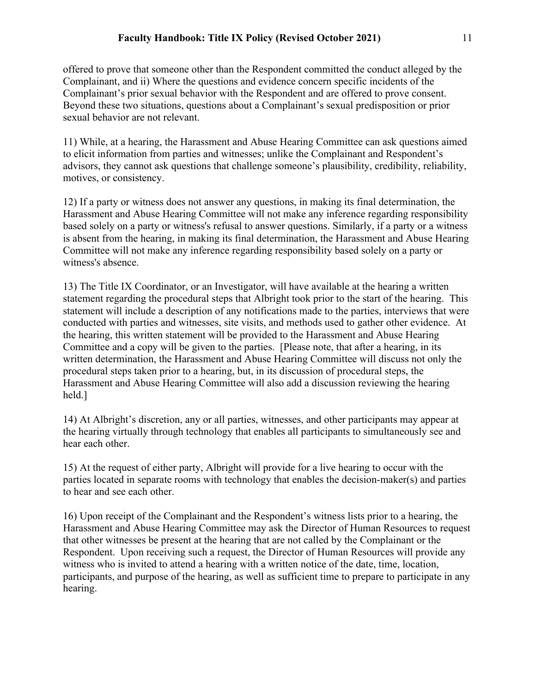offered to prove that someone other than the Respondent committed the conduct alleged by the Complainant, and ii) Where the questions and evidence concern specific incidents of the Complainant's prior sexual behavior with the Respondent and are offered to prove consent. Beyond these two situations, questions about a Complainant's sexual predisposition or prior sexual behavior are not relevant.

11) While, at a hearing, the Harassment and Abuse Hearing Committee can ask questions aimed to elicit information from parties and witnesses; unlike the Complainant and Respondent's advisors, they cannot ask questions that challenge someone's plausibility, credibility, reliability, motives, or consistency.

12) If a party or witness does not answer any questions, in making its final determination, the Harassment and Abuse Hearing Committee will not make any inference regarding responsibility based solely on a party or witness's refusal to answer questions. Similarly, if a party or a witness is absent from the hearing, in making its final determination, the Harassment and Abuse Hearing Committee will not make any inference regarding responsibility based solely on a party or witness's absence.

13) The Title IX Coordinator, or an Investigator, will have available at the hearing a written statement regarding the procedural steps that Albright took prior to the start of the hearing. This statement will include a description of any notifications made to the parties, interviews that were conducted with parties and witnesses, site visits, and methods used to gather other evidence. At the hearing, this written statement will be provided to the Harassment and Abuse Hearing Committee and a copy will be given to the parties. [Please note, that after a hearing, in its written determination, the Harassment and Abuse Hearing Committee will discuss not only the procedural steps taken prior to a hearing, but, in its discussion of procedural steps, the Harassment and Abuse Hearing Committee will also add a discussion reviewing the hearing held.]

14) At Albright's discretion, any or all parties, witnesses, and other participants may appear at the hearing virtually through technology that enables all participants to simultaneously see and hear each other.

15) At the request of either party, Albright will provide for a live hearing to occur with the parties located in separate rooms with technology that enables the decision-maker(s) and parties to hear and see each other.

16) Upon receipt of the Complainant and the Respondent's witness lists prior to a hearing, the Harassment and Abuse Hearing Committee may ask the Director of Human Resources to request that other witnesses be present at the hearing that are not called by the Complainant or the Respondent. Upon receiving such a request, the Director of Human Resources will provide any witness who is invited to attend a hearing with a written notice of the date, time, location, participants, and purpose of the hearing, as well as sufficient time to prepare to participate in any hearing.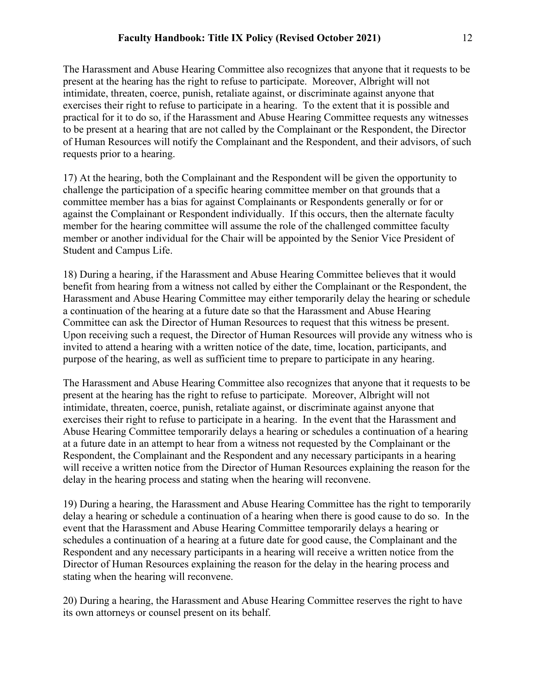The Harassment and Abuse Hearing Committee also recognizes that anyone that it requests to be present at the hearing has the right to refuse to participate. Moreover, Albright will not intimidate, threaten, coerce, punish, retaliate against, or discriminate against anyone that exercises their right to refuse to participate in a hearing. To the extent that it is possible and practical for it to do so, if the Harassment and Abuse Hearing Committee requests any witnesses to be present at a hearing that are not called by the Complainant or the Respondent, the Director of Human Resources will notify the Complainant and the Respondent, and their advisors, of such requests prior to a hearing.

17) At the hearing, both the Complainant and the Respondent will be given the opportunity to challenge the participation of a specific hearing committee member on that grounds that a committee member has a bias for against Complainants or Respondents generally or for or against the Complainant or Respondent individually. If this occurs, then the alternate faculty member for the hearing committee will assume the role of the challenged committee faculty member or another individual for the Chair will be appointed by the Senior Vice President of Student and Campus Life.

18) During a hearing, if the Harassment and Abuse Hearing Committee believes that it would benefit from hearing from a witness not called by either the Complainant or the Respondent, the Harassment and Abuse Hearing Committee may either temporarily delay the hearing or schedule a continuation of the hearing at a future date so that the Harassment and Abuse Hearing Committee can ask the Director of Human Resources to request that this witness be present. Upon receiving such a request, the Director of Human Resources will provide any witness who is invited to attend a hearing with a written notice of the date, time, location, participants, and purpose of the hearing, as well as sufficient time to prepare to participate in any hearing.

The Harassment and Abuse Hearing Committee also recognizes that anyone that it requests to be present at the hearing has the right to refuse to participate. Moreover, Albright will not intimidate, threaten, coerce, punish, retaliate against, or discriminate against anyone that exercises their right to refuse to participate in a hearing. In the event that the Harassment and Abuse Hearing Committee temporarily delays a hearing or schedules a continuation of a hearing at a future date in an attempt to hear from a witness not requested by the Complainant or the Respondent, the Complainant and the Respondent and any necessary participants in a hearing will receive a written notice from the Director of Human Resources explaining the reason for the delay in the hearing process and stating when the hearing will reconvene.

19) During a hearing, the Harassment and Abuse Hearing Committee has the right to temporarily delay a hearing or schedule a continuation of a hearing when there is good cause to do so. In the event that the Harassment and Abuse Hearing Committee temporarily delays a hearing or schedules a continuation of a hearing at a future date for good cause, the Complainant and the Respondent and any necessary participants in a hearing will receive a written notice from the Director of Human Resources explaining the reason for the delay in the hearing process and stating when the hearing will reconvene.

20) During a hearing, the Harassment and Abuse Hearing Committee reserves the right to have its own attorneys or counsel present on its behalf.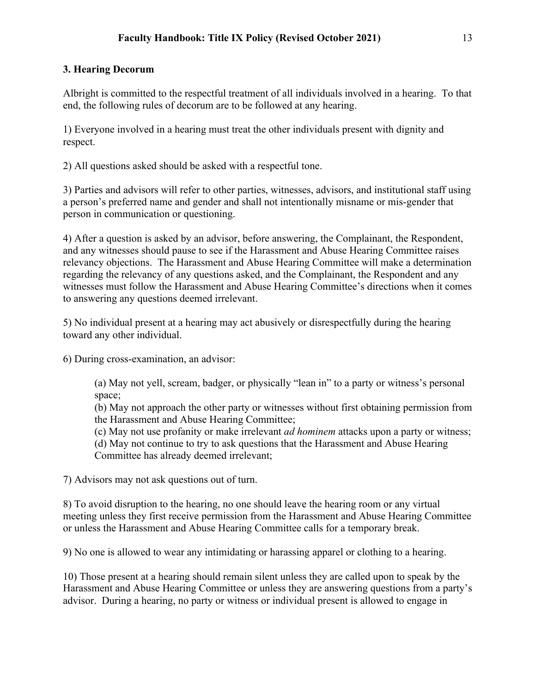## **3. Hearing Decorum**

Albright is committed to the respectful treatment of all individuals involved in a hearing. To that end, the following rules of decorum are to be followed at any hearing.

1) Everyone involved in a hearing must treat the other individuals present with dignity and respect.

2) All questions asked should be asked with a respectful tone.

3) Parties and advisors will refer to other parties, witnesses, advisors, and institutional staff using a person's preferred name and gender and shall not intentionally misname or mis-gender that person in communication or questioning.

4) After a question is asked by an advisor, before answering, the Complainant, the Respondent, and any witnesses should pause to see if the Harassment and Abuse Hearing Committee raises relevancy objections. The Harassment and Abuse Hearing Committee will make a determination regarding the relevancy of any questions asked, and the Complainant, the Respondent and any witnesses must follow the Harassment and Abuse Hearing Committee's directions when it comes to answering any questions deemed irrelevant.

5) No individual present at a hearing may act abusively or disrespectfully during the hearing toward any other individual.

6) During cross-examination, an advisor:

(a) May not yell, scream, badger, or physically "lean in" to a party or witness's personal space;

(b) May not approach the other party or witnesses without first obtaining permission from the Harassment and Abuse Hearing Committee;

(c) May not use profanity or make irrelevant *ad hominem* attacks upon a party or witness;

(d) May not continue to try to ask questions that the Harassment and Abuse Hearing Committee has already deemed irrelevant;

7) Advisors may not ask questions out of turn.

8) To avoid disruption to the hearing, no one should leave the hearing room or any virtual meeting unless they first receive permission from the Harassment and Abuse Hearing Committee or unless the Harassment and Abuse Hearing Committee calls for a temporary break.

9) No one is allowed to wear any intimidating or harassing apparel or clothing to a hearing.

10) Those present at a hearing should remain silent unless they are called upon to speak by the Harassment and Abuse Hearing Committee or unless they are answering questions from a party's advisor. During a hearing, no party or witness or individual present is allowed to engage in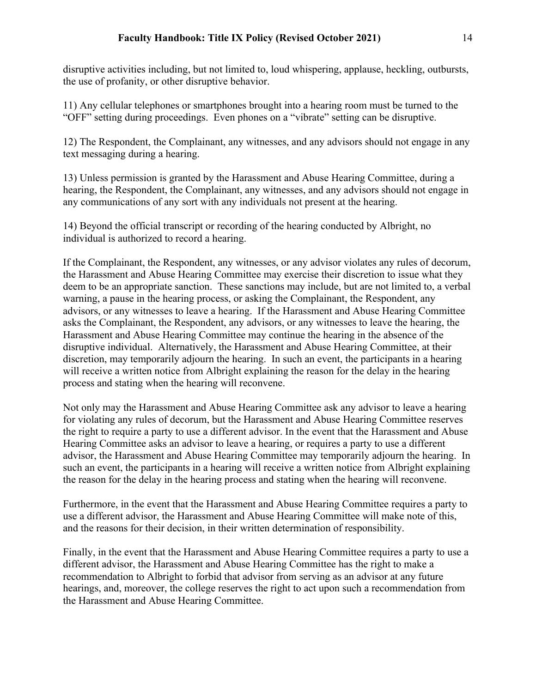disruptive activities including, but not limited to, loud whispering, applause, heckling, outbursts, the use of profanity, or other disruptive behavior.

11) Any cellular telephones or smartphones brought into a hearing room must be turned to the "OFF" setting during proceedings. Even phones on a "vibrate" setting can be disruptive.

12) The Respondent, the Complainant, any witnesses, and any advisors should not engage in any text messaging during a hearing.

13) Unless permission is granted by the Harassment and Abuse Hearing Committee, during a hearing, the Respondent, the Complainant, any witnesses, and any advisors should not engage in any communications of any sort with any individuals not present at the hearing.

14) Beyond the official transcript or recording of the hearing conducted by Albright, no individual is authorized to record a hearing.

If the Complainant, the Respondent, any witnesses, or any advisor violates any rules of decorum, the Harassment and Abuse Hearing Committee may exercise their discretion to issue what they deem to be an appropriate sanction. These sanctions may include, but are not limited to, a verbal warning, a pause in the hearing process, or asking the Complainant, the Respondent, any advisors, or any witnesses to leave a hearing. If the Harassment and Abuse Hearing Committee asks the Complainant, the Respondent, any advisors, or any witnesses to leave the hearing, the Harassment and Abuse Hearing Committee may continue the hearing in the absence of the disruptive individual. Alternatively, the Harassment and Abuse Hearing Committee, at their discretion, may temporarily adjourn the hearing. In such an event, the participants in a hearing will receive a written notice from Albright explaining the reason for the delay in the hearing process and stating when the hearing will reconvene.

Not only may the Harassment and Abuse Hearing Committee ask any advisor to leave a hearing for violating any rules of decorum, but the Harassment and Abuse Hearing Committee reserves the right to require a party to use a different advisor. In the event that the Harassment and Abuse Hearing Committee asks an advisor to leave a hearing, or requires a party to use a different advisor, the Harassment and Abuse Hearing Committee may temporarily adjourn the hearing. In such an event, the participants in a hearing will receive a written notice from Albright explaining the reason for the delay in the hearing process and stating when the hearing will reconvene.

Furthermore, in the event that the Harassment and Abuse Hearing Committee requires a party to use a different advisor, the Harassment and Abuse Hearing Committee will make note of this, and the reasons for their decision, in their written determination of responsibility.

Finally, in the event that the Harassment and Abuse Hearing Committee requires a party to use a different advisor, the Harassment and Abuse Hearing Committee has the right to make a recommendation to Albright to forbid that advisor from serving as an advisor at any future hearings, and, moreover, the college reserves the right to act upon such a recommendation from the Harassment and Abuse Hearing Committee.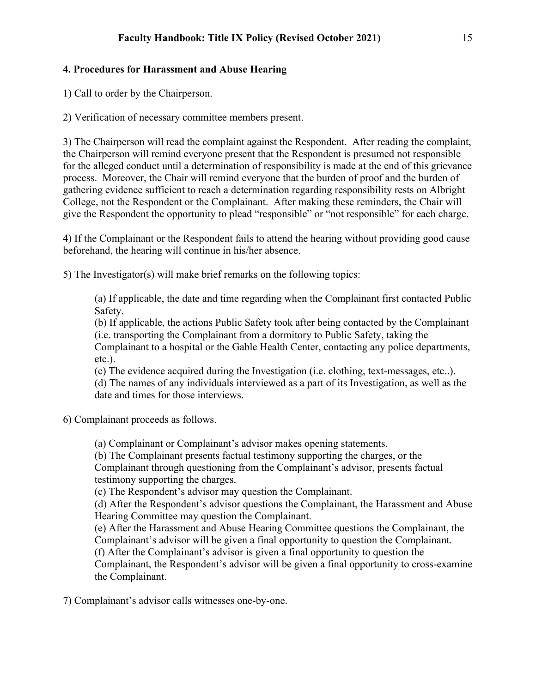## **4. Procedures for Harassment and Abuse Hearing**

1) Call to order by the Chairperson.

2) Verification of necessary committee members present.

3) The Chairperson will read the complaint against the Respondent. After reading the complaint, the Chairperson will remind everyone present that the Respondent is presumed not responsible for the alleged conduct until a determination of responsibility is made at the end of this grievance process. Moreover, the Chair will remind everyone that the burden of proof and the burden of gathering evidence sufficient to reach a determination regarding responsibility rests on Albright College, not the Respondent or the Complainant. After making these reminders, the Chair will give the Respondent the opportunity to plead "responsible" or "not responsible" for each charge.

4) If the Complainant or the Respondent fails to attend the hearing without providing good cause beforehand, the hearing will continue in his/her absence.

5) The Investigator(s) will make brief remarks on the following topics:

(a) If applicable, the date and time regarding when the Complainant first contacted Public Safety.

(b) If applicable, the actions Public Safety took after being contacted by the Complainant (i.e. transporting the Complainant from a dormitory to Public Safety, taking the Complainant to a hospital or the Gable Health Center, contacting any police departments, etc.).

(c) The evidence acquired during the Investigation (i.e. clothing, text-messages, etc..).

(d) The names of any individuals interviewed as a part of its Investigation, as well as the date and times for those interviews.

6) Complainant proceeds as follows.

(a) Complainant or Complainant's advisor makes opening statements.

(b) The Complainant presents factual testimony supporting the charges, or the Complainant through questioning from the Complainant's advisor, presents factual testimony supporting the charges.

(c) The Respondent's advisor may question the Complainant.

(d) After the Respondent's advisor questions the Complainant, the Harassment and Abuse Hearing Committee may question the Complainant.

(e) After the Harassment and Abuse Hearing Committee questions the Complainant, the Complainant's advisor will be given a final opportunity to question the Complainant.

(f) After the Complainant's advisor is given a final opportunity to question the

Complainant, the Respondent's advisor will be given a final opportunity to cross-examine the Complainant.

7) Complainant's advisor calls witnesses one-by-one.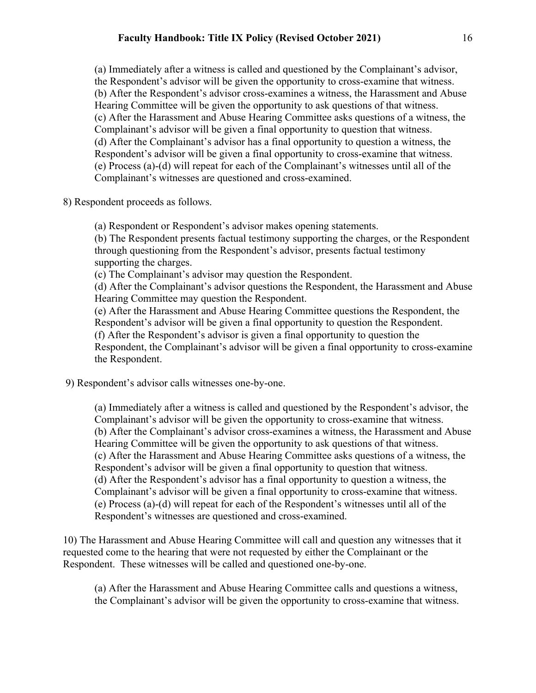(a) Immediately after a witness is called and questioned by the Complainant's advisor, the Respondent's advisor will be given the opportunity to cross-examine that witness. (b) After the Respondent's advisor cross-examines a witness, the Harassment and Abuse Hearing Committee will be given the opportunity to ask questions of that witness. (c) After the Harassment and Abuse Hearing Committee asks questions of a witness, the Complainant's advisor will be given a final opportunity to question that witness. (d) After the Complainant's advisor has a final opportunity to question a witness, the Respondent's advisor will be given a final opportunity to cross-examine that witness. (e) Process (a)-(d) will repeat for each of the Complainant's witnesses until all of the Complainant's witnesses are questioned and cross-examined.

8) Respondent proceeds as follows.

(a) Respondent or Respondent's advisor makes opening statements.

(b) The Respondent presents factual testimony supporting the charges, or the Respondent through questioning from the Respondent's advisor, presents factual testimony supporting the charges.

(c) The Complainant's advisor may question the Respondent.

(d) After the Complainant's advisor questions the Respondent, the Harassment and Abuse Hearing Committee may question the Respondent.

(e) After the Harassment and Abuse Hearing Committee questions the Respondent, the Respondent's advisor will be given a final opportunity to question the Respondent.

(f) After the Respondent's advisor is given a final opportunity to question the Respondent, the Complainant's advisor will be given a final opportunity to cross-examine the Respondent.

9) Respondent's advisor calls witnesses one-by-one.

(a) Immediately after a witness is called and questioned by the Respondent's advisor, the Complainant's advisor will be given the opportunity to cross-examine that witness. (b) After the Complainant's advisor cross-examines a witness, the Harassment and Abuse Hearing Committee will be given the opportunity to ask questions of that witness. (c) After the Harassment and Abuse Hearing Committee asks questions of a witness, the Respondent's advisor will be given a final opportunity to question that witness. (d) After the Respondent's advisor has a final opportunity to question a witness, the Complainant's advisor will be given a final opportunity to cross-examine that witness. (e) Process (a)-(d) will repeat for each of the Respondent's witnesses until all of the Respondent's witnesses are questioned and cross-examined.

10) The Harassment and Abuse Hearing Committee will call and question any witnesses that it requested come to the hearing that were not requested by either the Complainant or the Respondent. These witnesses will be called and questioned one-by-one.

(a) After the Harassment and Abuse Hearing Committee calls and questions a witness, the Complainant's advisor will be given the opportunity to cross-examine that witness.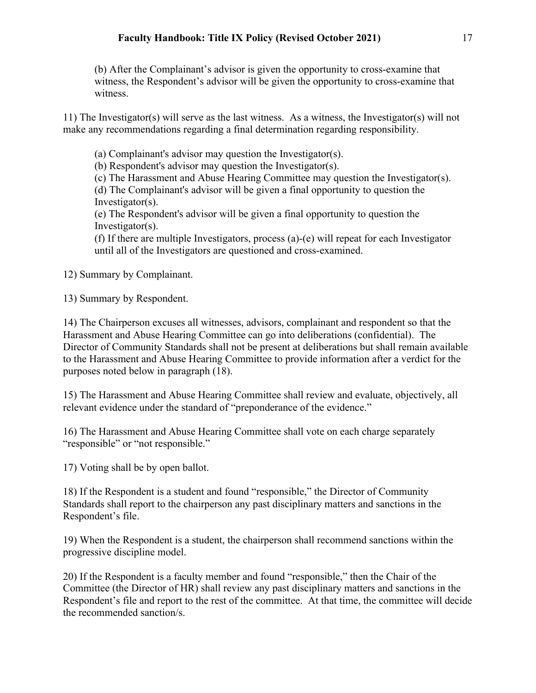(b) After the Complainant's advisor is given the opportunity to cross-examine that witness, the Respondent's advisor will be given the opportunity to cross-examine that witness.

11) The Investigator(s) will serve as the last witness. As a witness, the Investigator(s) will not make any recommendations regarding a final determination regarding responsibility.

(a) Complainant's advisor may question the Investigator(s).

(b) Respondent's advisor may question the Investigator(s).

(c) The Harassment and Abuse Hearing Committee may question the Investigator(s).

(d) The Complainant's advisor will be given a final opportunity to question the Investigator(s).

(e) The Respondent's advisor will be given a final opportunity to question the Investigator(s).

(f) If there are multiple Investigators, process (a)-(e) will repeat for each Investigator until all of the Investigators are questioned and cross-examined.

12) Summary by Complainant.

13) Summary by Respondent.

14) The Chairperson excuses all witnesses, advisors, complainant and respondent so that the Harassment and Abuse Hearing Committee can go into deliberations (confidential). The Director of Community Standards shall not be present at deliberations but shall remain available to the Harassment and Abuse Hearing Committee to provide information after a verdict for the purposes noted below in paragraph (18).

15) The Harassment and Abuse Hearing Committee shall review and evaluate, objectively, all relevant evidence under the standard of "preponderance of the evidence."

16) The Harassment and Abuse Hearing Committee shall vote on each charge separately "responsible" or "not responsible."

17) Voting shall be by open ballot.

18) If the Respondent is a student and found "responsible," the Director of Community Standards shall report to the chairperson any past disciplinary matters and sanctions in the Respondent's file.

19) When the Respondent is a student, the chairperson shall recommend sanctions within the progressive discipline model.

20) If the Respondent is a faculty member and found "responsible," then the Chair of the Committee (the Director of HR) shall review any past disciplinary matters and sanctions in the Respondent's file and report to the rest of the committee. At that time, the committee will decide the recommended sanction/s.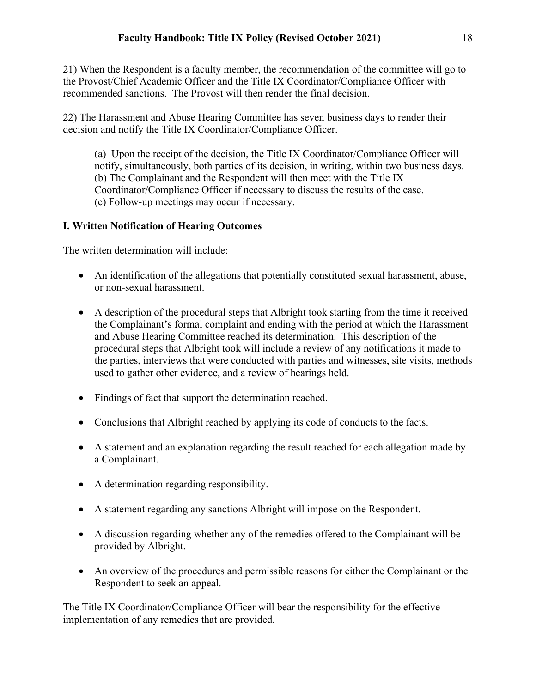21) When the Respondent is a faculty member, the recommendation of the committee will go to the Provost/Chief Academic Officer and the Title IX Coordinator/Compliance Officer with recommended sanctions. The Provost will then render the final decision.

22) The Harassment and Abuse Hearing Committee has seven business days to render their decision and notify the Title IX Coordinator/Compliance Officer.

(a) Upon the receipt of the decision, the Title IX Coordinator/Compliance Officer will notify, simultaneously, both parties of its decision, in writing, within two business days. (b) The Complainant and the Respondent will then meet with the Title IX Coordinator/Compliance Officer if necessary to discuss the results of the case. (c) Follow-up meetings may occur if necessary.

## **I. Written Notification of Hearing Outcomes**

The written determination will include:

- An identification of the allegations that potentially constituted sexual harassment, abuse, or non-sexual harassment.
- A description of the procedural steps that Albright took starting from the time it received the Complainant's formal complaint and ending with the period at which the Harassment and Abuse Hearing Committee reached its determination. This description of the procedural steps that Albright took will include a review of any notifications it made to the parties, interviews that were conducted with parties and witnesses, site visits, methods used to gather other evidence, and a review of hearings held.
- Findings of fact that support the determination reached.
- Conclusions that Albright reached by applying its code of conducts to the facts.
- A statement and an explanation regarding the result reached for each allegation made by a Complainant.
- A determination regarding responsibility.
- A statement regarding any sanctions Albright will impose on the Respondent.
- A discussion regarding whether any of the remedies offered to the Complainant will be provided by Albright.
- An overview of the procedures and permissible reasons for either the Complainant or the Respondent to seek an appeal.

The Title IX Coordinator/Compliance Officer will bear the responsibility for the effective implementation of any remedies that are provided.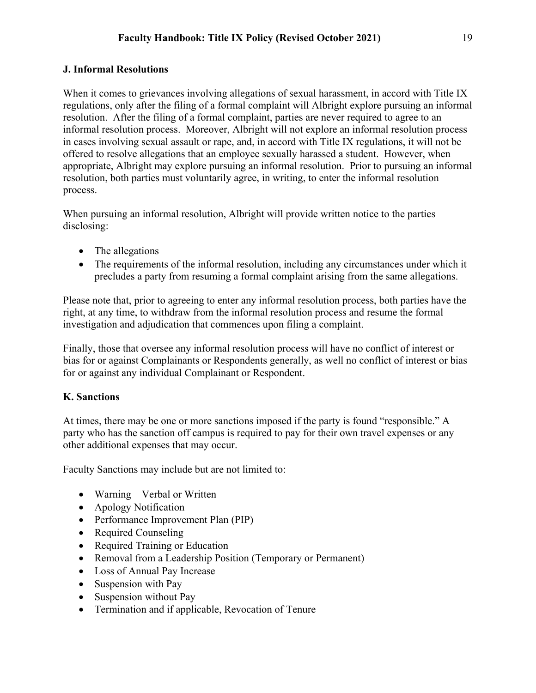#### **J. Informal Resolutions**

When it comes to grievances involving allegations of sexual harassment, in accord with Title IX regulations, only after the filing of a formal complaint will Albright explore pursuing an informal resolution. After the filing of a formal complaint, parties are never required to agree to an informal resolution process. Moreover, Albright will not explore an informal resolution process in cases involving sexual assault or rape, and, in accord with Title IX regulations, it will not be offered to resolve allegations that an employee sexually harassed a student. However, when appropriate, Albright may explore pursuing an informal resolution. Prior to pursuing an informal resolution, both parties must voluntarily agree, in writing, to enter the informal resolution process.

When pursuing an informal resolution, Albright will provide written notice to the parties disclosing:

- The allegations
- The requirements of the informal resolution, including any circumstances under which it precludes a party from resuming a formal complaint arising from the same allegations.

Please note that, prior to agreeing to enter any informal resolution process, both parties have the right, at any time, to withdraw from the informal resolution process and resume the formal investigation and adjudication that commences upon filing a complaint.

Finally, those that oversee any informal resolution process will have no conflict of interest or bias for or against Complainants or Respondents generally, as well no conflict of interest or bias for or against any individual Complainant or Respondent.

### **K. Sanctions**

At times, there may be one or more sanctions imposed if the party is found "responsible." A party who has the sanction off campus is required to pay for their own travel expenses or any other additional expenses that may occur.

Faculty Sanctions may include but are not limited to:

- Warning Verbal or Written
- Apology Notification
- Performance Improvement Plan (PIP)
- Required Counseling
- Required Training or Education
- Removal from a Leadership Position (Temporary or Permanent)
- Loss of Annual Pay Increase
- Suspension with Pay
- Suspension without Pay
- Termination and if applicable, Revocation of Tenure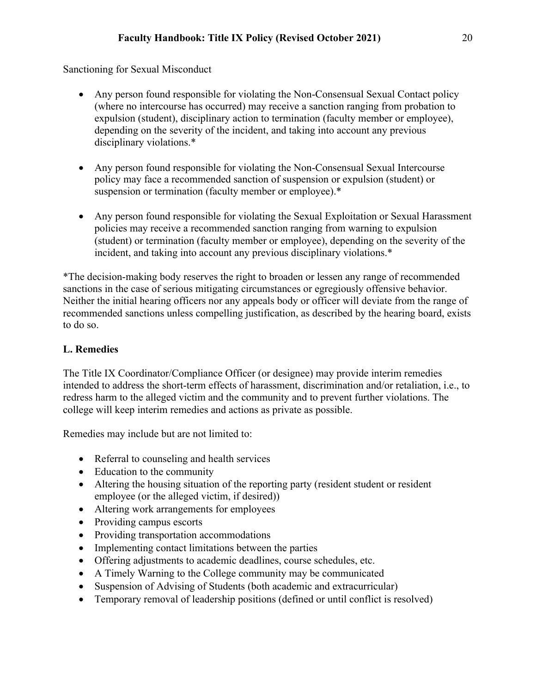Sanctioning for Sexual Misconduct

- Any person found responsible for violating the Non-Consensual Sexual Contact policy (where no intercourse has occurred) may receive a sanction ranging from probation to expulsion (student), disciplinary action to termination (faculty member or employee), depending on the severity of the incident, and taking into account any previous disciplinary violations.\*
- Any person found responsible for violating the Non-Consensual Sexual Intercourse policy may face a recommended sanction of suspension or expulsion (student) or suspension or termination (faculty member or employee).\*
- Any person found responsible for violating the Sexual Exploitation or Sexual Harassment policies may receive a recommended sanction ranging from warning to expulsion (student) or termination (faculty member or employee), depending on the severity of the incident, and taking into account any previous disciplinary violations.\*

\*The decision-making body reserves the right to broaden or lessen any range of recommended sanctions in the case of serious mitigating circumstances or egregiously offensive behavior. Neither the initial hearing officers nor any appeals body or officer will deviate from the range of recommended sanctions unless compelling justification, as described by the hearing board, exists to do so.

## **L. Remedies**

The Title IX Coordinator/Compliance Officer (or designee) may provide interim remedies intended to address the short-term effects of harassment, discrimination and/or retaliation, i.e., to redress harm to the alleged victim and the community and to prevent further violations. The college will keep interim remedies and actions as private as possible.

Remedies may include but are not limited to:

- Referral to counseling and health services
- Education to the community
- Altering the housing situation of the reporting party (resident student or resident employee (or the alleged victim, if desired))
- Altering work arrangements for employees
- Providing campus escorts
- Providing transportation accommodations
- Implementing contact limitations between the parties
- Offering adjustments to academic deadlines, course schedules, etc.
- A Timely Warning to the College community may be communicated
- Suspension of Advising of Students (both academic and extracurricular)
- Temporary removal of leadership positions (defined or until conflict is resolved)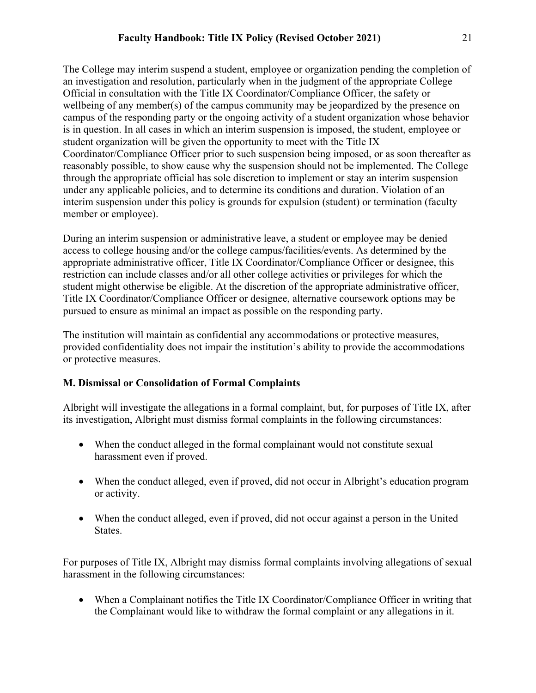The College may interim suspend a student, employee or organization pending the completion of an investigation and resolution, particularly when in the judgment of the appropriate College Official in consultation with the Title IX Coordinator/Compliance Officer, the safety or wellbeing of any member(s) of the campus community may be jeopardized by the presence on campus of the responding party or the ongoing activity of a student organization whose behavior is in question. In all cases in which an interim suspension is imposed, the student, employee or student organization will be given the opportunity to meet with the Title IX Coordinator/Compliance Officer prior to such suspension being imposed, or as soon thereafter as reasonably possible, to show cause why the suspension should not be implemented. The College through the appropriate official has sole discretion to implement or stay an interim suspension under any applicable policies, and to determine its conditions and duration. Violation of an interim suspension under this policy is grounds for expulsion (student) or termination (faculty member or employee).

During an interim suspension or administrative leave, a student or employee may be denied access to college housing and/or the college campus/facilities/events. As determined by the appropriate administrative officer, Title IX Coordinator/Compliance Officer or designee, this restriction can include classes and/or all other college activities or privileges for which the student might otherwise be eligible. At the discretion of the appropriate administrative officer, Title IX Coordinator/Compliance Officer or designee, alternative coursework options may be pursued to ensure as minimal an impact as possible on the responding party.

The institution will maintain as confidential any accommodations or protective measures, provided confidentiality does not impair the institution's ability to provide the accommodations or protective measures.

# **M. Dismissal or Consolidation of Formal Complaints**

Albright will investigate the allegations in a formal complaint, but, for purposes of Title IX, after its investigation, Albright must dismiss formal complaints in the following circumstances:

- When the conduct alleged in the formal complainant would not constitute sexual harassment even if proved.
- When the conduct alleged, even if proved, did not occur in Albright's education program or activity.
- When the conduct alleged, even if proved, did not occur against a person in the United States.

For purposes of Title IX, Albright may dismiss formal complaints involving allegations of sexual harassment in the following circumstances:

• When a Complainant notifies the Title IX Coordinator/Compliance Officer in writing that the Complainant would like to withdraw the formal complaint or any allegations in it.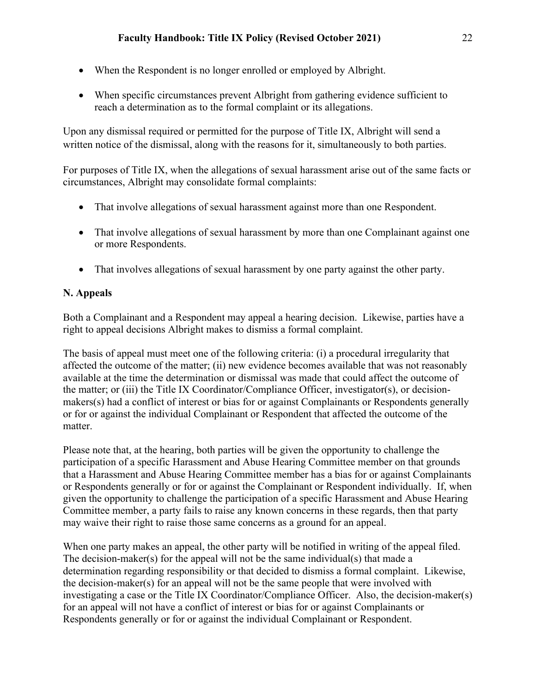- When the Respondent is no longer enrolled or employed by Albright.
- When specific circumstances prevent Albright from gathering evidence sufficient to reach a determination as to the formal complaint or its allegations.

Upon any dismissal required or permitted for the purpose of Title IX, Albright will send a written notice of the dismissal, along with the reasons for it, simultaneously to both parties.

For purposes of Title IX, when the allegations of sexual harassment arise out of the same facts or circumstances, Albright may consolidate formal complaints:

- That involve allegations of sexual harassment against more than one Respondent.
- That involve allegations of sexual harassment by more than one Complainant against one or more Respondents.
- That involves allegations of sexual harassment by one party against the other party.

## **N. Appeals**

Both a Complainant and a Respondent may appeal a hearing decision. Likewise, parties have a right to appeal decisions Albright makes to dismiss a formal complaint.

The basis of appeal must meet one of the following criteria: (i) a procedural irregularity that affected the outcome of the matter; (ii) new evidence becomes available that was not reasonably available at the time the determination or dismissal was made that could affect the outcome of the matter; or (iii) the Title IX Coordinator/Compliance Officer, investigator(s), or decisionmakers(s) had a conflict of interest or bias for or against Complainants or Respondents generally or for or against the individual Complainant or Respondent that affected the outcome of the matter.

Please note that, at the hearing, both parties will be given the opportunity to challenge the participation of a specific Harassment and Abuse Hearing Committee member on that grounds that a Harassment and Abuse Hearing Committee member has a bias for or against Complainants or Respondents generally or for or against the Complainant or Respondent individually. If, when given the opportunity to challenge the participation of a specific Harassment and Abuse Hearing Committee member, a party fails to raise any known concerns in these regards, then that party may waive their right to raise those same concerns as a ground for an appeal.

When one party makes an appeal, the other party will be notified in writing of the appeal filed. The decision-maker(s) for the appeal will not be the same individual(s) that made a determination regarding responsibility or that decided to dismiss a formal complaint. Likewise, the decision-maker(s) for an appeal will not be the same people that were involved with investigating a case or the Title IX Coordinator/Compliance Officer. Also, the decision-maker(s) for an appeal will not have a conflict of interest or bias for or against Complainants or Respondents generally or for or against the individual Complainant or Respondent.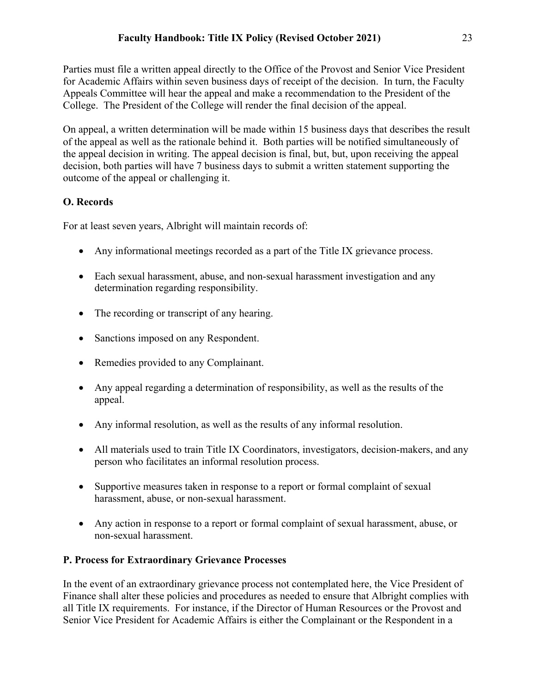Parties must file a written appeal directly to the Office of the Provost and Senior Vice President for Academic Affairs within seven business days of receipt of the decision. In turn, the Faculty Appeals Committee will hear the appeal and make a recommendation to the President of the College. The President of the College will render the final decision of the appeal.

On appeal, a written determination will be made within 15 business days that describes the result of the appeal as well as the rationale behind it. Both parties will be notified simultaneously of the appeal decision in writing. The appeal decision is final, but, but, upon receiving the appeal decision, both parties will have 7 business days to submit a written statement supporting the outcome of the appeal or challenging it.

# **O. Records**

For at least seven years, Albright will maintain records of:

- Any informational meetings recorded as a part of the Title IX grievance process.
- Each sexual harassment, abuse, and non-sexual harassment investigation and any determination regarding responsibility.
- The recording or transcript of any hearing.
- Sanctions imposed on any Respondent.
- Remedies provided to any Complainant.
- Any appeal regarding a determination of responsibility, as well as the results of the appeal.
- Any informal resolution, as well as the results of any informal resolution.
- All materials used to train Title IX Coordinators, investigators, decision-makers, and any person who facilitates an informal resolution process.
- Supportive measures taken in response to a report or formal complaint of sexual harassment, abuse, or non-sexual harassment.
- Any action in response to a report or formal complaint of sexual harassment, abuse, or non-sexual harassment.

# **P. Process for Extraordinary Grievance Processes**

In the event of an extraordinary grievance process not contemplated here, the Vice President of Finance shall alter these policies and procedures as needed to ensure that Albright complies with all Title IX requirements. For instance, if the Director of Human Resources or the Provost and Senior Vice President for Academic Affairs is either the Complainant or the Respondent in a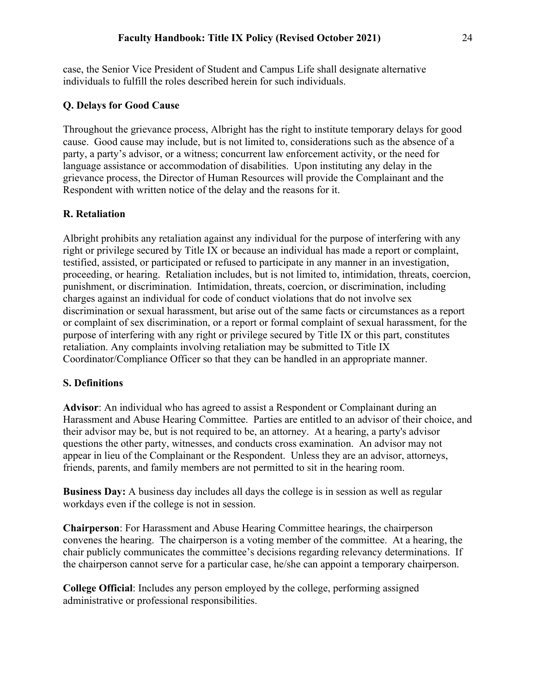case, the Senior Vice President of Student and Campus Life shall designate alternative individuals to fulfill the roles described herein for such individuals.

## **Q. Delays for Good Cause**

Throughout the grievance process, Albright has the right to institute temporary delays for good cause. Good cause may include, but is not limited to, considerations such as the absence of a party, a party's advisor, or a witness; concurrent law enforcement activity, or the need for language assistance or accommodation of disabilities. Upon instituting any delay in the grievance process, the Director of Human Resources will provide the Complainant and the Respondent with written notice of the delay and the reasons for it.

## **R. Retaliation**

Albright prohibits any retaliation against any individual for the purpose of interfering with any right or privilege secured by Title IX or because an individual has made a report or complaint, testified, assisted, or participated or refused to participate in any manner in an investigation, proceeding, or hearing. Retaliation includes, but is not limited to, intimidation, threats, coercion, punishment, or discrimination. Intimidation, threats, coercion, or discrimination, including charges against an individual for code of conduct violations that do not involve sex discrimination or sexual harassment, but arise out of the same facts or circumstances as a report or complaint of sex discrimination, or a report or formal complaint of sexual harassment, for the purpose of interfering with any right or privilege secured by Title IX or this part, constitutes retaliation. Any complaints involving retaliation may be submitted to Title IX Coordinator/Compliance Officer so that they can be handled in an appropriate manner.

## **S. Definitions**

**Advisor**: An individual who has agreed to assist a Respondent or Complainant during an Harassment and Abuse Hearing Committee. Parties are entitled to an advisor of their choice, and their advisor may be, but is not required to be, an attorney. At a hearing, a party's advisor questions the other party, witnesses, and conducts cross examination. An advisor may not appear in lieu of the Complainant or the Respondent. Unless they are an advisor, attorneys, friends, parents, and family members are not permitted to sit in the hearing room.

**Business Day:** A business day includes all days the college is in session as well as regular workdays even if the college is not in session.

**Chairperson**: For Harassment and Abuse Hearing Committee hearings, the chairperson convenes the hearing. The chairperson is a voting member of the committee. At a hearing, the chair publicly communicates the committee's decisions regarding relevancy determinations. If the chairperson cannot serve for a particular case, he/she can appoint a temporary chairperson.

**College Official**: Includes any person employed by the college, performing assigned administrative or professional responsibilities.